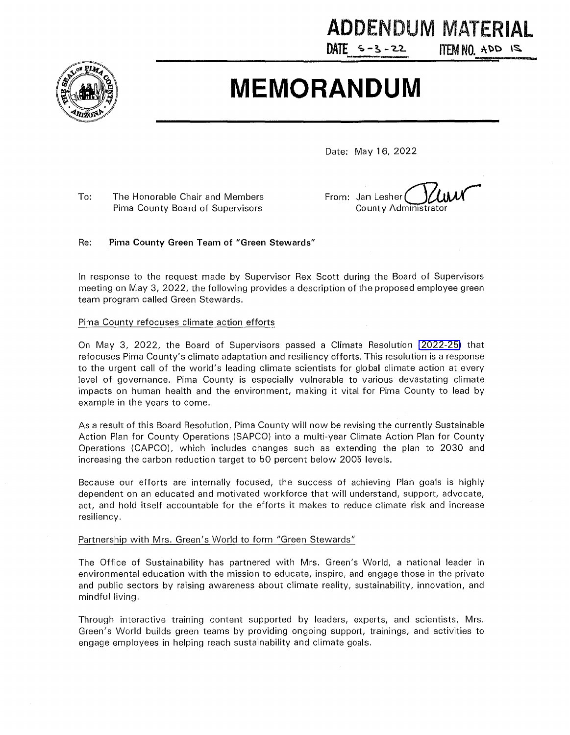

# **ADDENDUM MATERIAL**

DATE  $5 - 3 - 22$ 

**ITEM NO.**  $AOD$  **1S.** 

# **MEMORANDUM**

Date: May **1** 6, 2022

To: The Honorable Chair and Members Pima County Board of Supervisors

From: Jan Lesher ( County Administra

#### Re: **Pima County Green Team of "Green Stewards"**

In response to the request made by Supervisor Rex Scott during the Board of Supervisors meeting on May 3, 2022, the following provides a description of the proposed employee green team program called Green Stewards.

#### Pima County refocuses climate action efforts

On May 3, 2022, the Board of Supervisors passed a Climate Resolution **[\(2022-25\)](https://webcms.pima.gov/UserFiles/Servers/Server_6/File/Government/Sustainability%20and%20Conservation/Sustainability%20and%20Conservation%20newsroom/Sustainable%20Action%20Plan/Resolution%20No.%202022-25.pdf)** that refocuses Pima County's climate adaptation and resiliency efforts. This resolution is a response to the urgent call of the world's leading climate scientists for global climate action at every level of governance. Pima County is especially vulnerable to various devastating climate impacts on human health and the environment, making it vital for Pima County to lead by example in the years to come.

As a result of this Board Resolution, Pima County will now be revising the currently Sustainable Action Plan for County Operations (SAPCO) into a multi-year Climate Action Plan for County Operations (CAPCO), which includes changes such as extending the plan to 2030 and increasing the carbon reduction target to 50 percent below 2005 levels.

Because our efforts are internally focused, the success of achieving Plan goals is highly dependent on an educated and motivated workforce that will understand, support, advocate, act, and hold itself accountable for the efforts it makes to reduce climate risk and increase resiliency.

#### Partnership with Mrs. Green's World to form "Green Stewards"

The Office of Sustainability has partnered with Mrs. Green's World, a national leader in environmental education with the mission to educate, inspire, and engage those in the private and public sectors by raising awareness about climate reality, sustainability, innovation, and mindful living.

Through interactive training content supported by leaders, experts, and scientists, Mrs. Green's World builds green teams by providing ongoing support, trainings, and activities to engage employees in helping reach sustainability and climate goals.